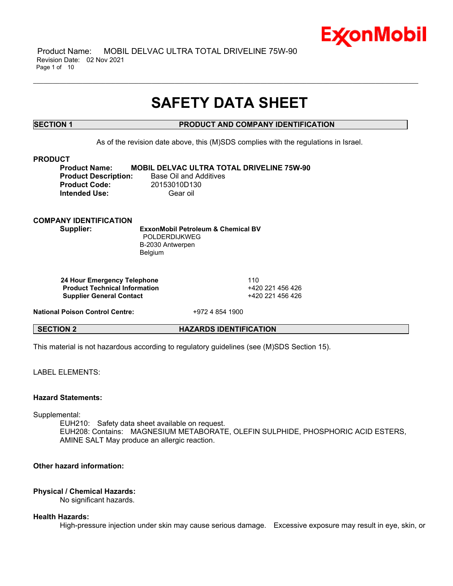

 Product Name: MOBIL DELVAC ULTRA TOTAL DRIVELINE 75W-90 Revision Date: 02 Nov 2021 Page 1 of 10

# **SAFETY DATA SHEET**

\_\_\_\_\_\_\_\_\_\_\_\_\_\_\_\_\_\_\_\_\_\_\_\_\_\_\_\_\_\_\_\_\_\_\_\_\_\_\_\_\_\_\_\_\_\_\_\_\_\_\_\_\_\_\_\_\_\_\_\_\_\_\_\_\_\_\_\_\_\_\_\_\_\_\_\_\_\_\_\_\_\_\_\_\_\_\_\_\_\_\_\_\_\_\_\_\_\_\_\_\_\_\_\_\_\_\_\_\_\_\_\_\_\_\_\_\_

# **SECTION 1 PRODUCT AND COMPANY IDENTIFICATION**

As of the revision date above, this (M)SDS complies with the regulations in Israel.

#### **PRODUCT**

**Product Name: MOBIL DELVAC ULTRA TOTAL DRIVELINE 75W-90 Product Code:** 20153010D130 **Intended Use:** Gear oil

**Product Description:** Base Oil and Additives

# **COMPANY IDENTIFICATION**

**Supplier: ExxonMobil Petroleum & Chemical BV** POLDERDIJKWEG B-2030 Antwerpen Belgium

**24 Hour Emergency Telephone** 110 **Product Technical Information** +420 221 456 426 **Supplier General Contact** +420 221 456 426

**National Poison Control Centre:** +972 4 854 1900

**SECTION 2 HAZARDS IDENTIFICATION**

This material is not hazardous according to regulatory guidelines (see (M)SDS Section 15).

LABEL ELEMENTS<sup>.</sup>

### **Hazard Statements:**

Supplemental:

EUH210: Safety data sheet available on request. EUH208: Contains: MAGNESIUM METABORATE, OLEFIN SULPHIDE, PHOSPHORIC ACID ESTERS, AMINE SALT May produce an allergic reaction.

# **Other hazard information:**

### **Physical / Chemical Hazards:**

No significant hazards.

### **Health Hazards:**

High-pressure injection under skin may cause serious damage. Excessive exposure may result in eye, skin, or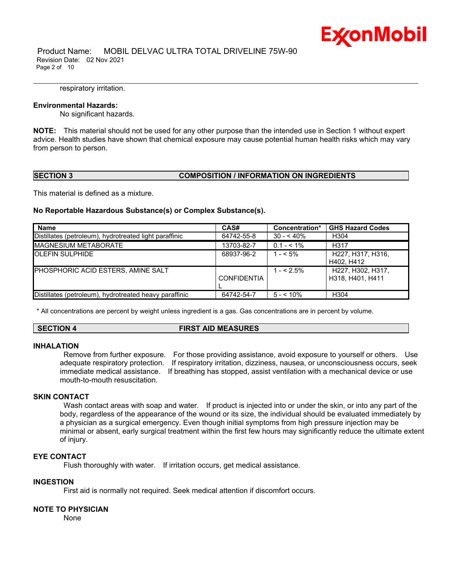

 Product Name: MOBIL DELVAC ULTRA TOTAL DRIVELINE 75W-90 Revision Date: 02 Nov 2021 Page 2 of 10

#### respiratory irritation.

#### **Environmental Hazards:**

No significant hazards.

**NOTE:** This material should not be used for any other purpose than the intended use in Section 1 without expert advice. Health studies have shown that chemical exposure may cause potential human health risks which may vary from person to person.

\_\_\_\_\_\_\_\_\_\_\_\_\_\_\_\_\_\_\_\_\_\_\_\_\_\_\_\_\_\_\_\_\_\_\_\_\_\_\_\_\_\_\_\_\_\_\_\_\_\_\_\_\_\_\_\_\_\_\_\_\_\_\_\_\_\_\_\_\_\_\_\_\_\_\_\_\_\_\_\_\_\_\_\_\_\_\_\_\_\_\_\_\_\_\_\_\_\_\_\_\_\_\_\_\_\_\_\_\_\_\_\_\_\_\_\_\_

#### **SECTION 3 COMPOSITION / INFORMATION ON INGREDIENTS**

This material is defined as a mixture.

#### **No Reportable Hazardous Substance(s) or Complex Substance(s).**

| <b>Name</b>                                            | CAS#               | Concentration* | <b>GHS Hazard Codes</b>               |
|--------------------------------------------------------|--------------------|----------------|---------------------------------------|
| Distillates (petroleum), hydrotreated light paraffinic | 64742-55-8         | $30 - 40\%$    | H304                                  |
| <b>IMAGNESIUM METABORATE</b>                           | 13703-82-7         | $0.1 - 5.1\%$  | H317                                  |
| <b>IOLEFIN SULPHIDE</b>                                | 68937-96-2         | $1 - 5\%$      | H227, H317, H316.<br>H402, H412       |
| PHOSPHORIC ACID ESTERS, AMINE SALT                     | <b>CONFIDENTIA</b> | $1 - 5\%$      | H227, H302, H317,<br>H318, H401, H411 |
| Distillates (petroleum), hydrotreated heavy paraffinic | 64742-54-7         | $5 - 10\%$     | H304                                  |

\* All concentrations are percent by weight unless ingredient is a gas. Gas concentrations are in percent by volume.

### **SECTION 4 FIRST AID MEASURES**

#### **INHALATION**

Remove from further exposure. For those providing assistance, avoid exposure to yourself or others. Use adequate respiratory protection. If respiratory irritation, dizziness, nausea, or unconsciousness occurs, seek immediate medical assistance. If breathing has stopped, assist ventilation with a mechanical device or use mouth-to-mouth resuscitation.

#### **SKIN CONTACT**

Wash contact areas with soap and water. If product is injected into or under the skin, or into any part of the body, regardless of the appearance of the wound or its size, the individual should be evaluated immediately by a physician as a surgical emergency. Even though initial symptoms from high pressure injection may be minimal or absent, early surgical treatment within the first few hours may significantly reduce the ultimate extent of injury.

# **EYE CONTACT**

Flush thoroughly with water. If irritation occurs, get medical assistance.

### **INGESTION**

First aid is normally not required. Seek medical attention if discomfort occurs.

#### **NOTE TO PHYSICIAN**

None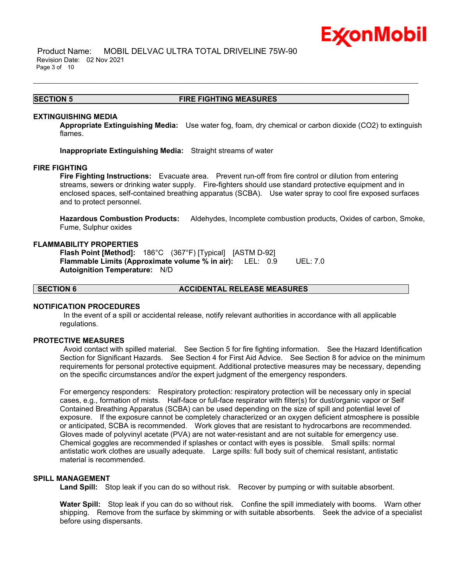

 Product Name: MOBIL DELVAC ULTRA TOTAL DRIVELINE 75W-90 Revision Date: 02 Nov 2021 Page 3 of 10

#### **SECTION 5 FIRE FIGHTING MEASURES**

\_\_\_\_\_\_\_\_\_\_\_\_\_\_\_\_\_\_\_\_\_\_\_\_\_\_\_\_\_\_\_\_\_\_\_\_\_\_\_\_\_\_\_\_\_\_\_\_\_\_\_\_\_\_\_\_\_\_\_\_\_\_\_\_\_\_\_\_\_\_\_\_\_\_\_\_\_\_\_\_\_\_\_\_\_\_\_\_\_\_\_\_\_\_\_\_\_\_\_\_\_\_\_\_\_\_\_\_\_\_\_\_\_\_\_\_\_

#### **EXTINGUISHING MEDIA**

**Appropriate Extinguishing Media:** Use water fog, foam, dry chemical or carbon dioxide (CO2) to extinguish flames.

**Inappropriate Extinguishing Media:** Straight streams of water

#### **FIRE FIGHTING**

**Fire Fighting Instructions:** Evacuate area. Prevent run-off from fire control or dilution from entering streams, sewers or drinking water supply. Fire-fighters should use standard protective equipment and in enclosed spaces, self-contained breathing apparatus (SCBA). Use water spray to cool fire exposed surfaces and to protect personnel.

**Hazardous Combustion Products:** Aldehydes, Incomplete combustion products, Oxides of carbon, Smoke, Fume, Sulphur oxides

#### **FLAMMABILITY PROPERTIES**

**Flash Point [Method]:** 186°C (367°F) [Typical] [ASTM D-92] **Flammable Limits (Approximate volume % in air):** LEL: 0.9 UEL: 7.0 **Autoignition Temperature:** N/D

**SECTION 6 ACCIDENTAL RELEASE MEASURES**

#### **NOTIFICATION PROCEDURES**

In the event of a spill or accidental release, notify relevant authorities in accordance with all applicable regulations.

#### **PROTECTIVE MEASURES**

Avoid contact with spilled material. See Section 5 for fire fighting information. See the Hazard Identification Section for Significant Hazards. See Section 4 for First Aid Advice. See Section 8 for advice on the minimum requirements for personal protective equipment. Additional protective measures may be necessary, depending on the specific circumstances and/or the expert judgment of the emergency responders.

For emergency responders: Respiratory protection: respiratory protection will be necessary only in special cases, e.g., formation of mists. Half-face or full-face respirator with filter(s) for dust/organic vapor or Self Contained Breathing Apparatus (SCBA) can be used depending on the size of spill and potential level of exposure. If the exposure cannot be completely characterized or an oxygen deficient atmosphere is possible or anticipated, SCBA is recommended. Work gloves that are resistant to hydrocarbons are recommended. Gloves made of polyvinyl acetate (PVA) are not water-resistant and are not suitable for emergency use. Chemical goggles are recommended if splashes or contact with eyes is possible. Small spills: normal antistatic work clothes are usually adequate. Large spills: full body suit of chemical resistant, antistatic material is recommended.

#### **SPILL MANAGEMENT**

**Land Spill:** Stop leak if you can do so without risk. Recover by pumping or with suitable absorbent.

**Water Spill:** Stop leak if you can do so without risk. Confine the spill immediately with booms. Warn other shipping. Remove from the surface by skimming or with suitable absorbents. Seek the advice of a specialist before using dispersants.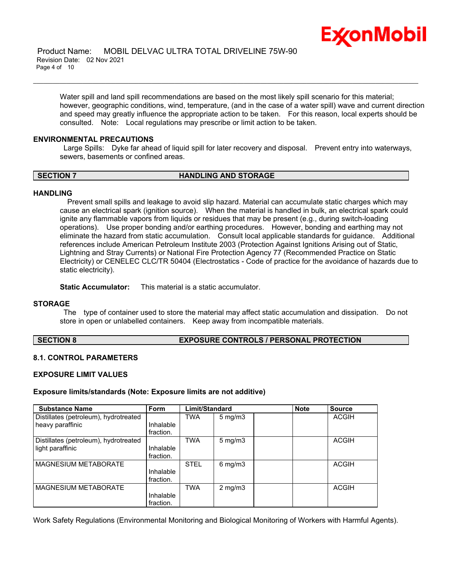

Water spill and land spill recommendations are based on the most likely spill scenario for this material; however, geographic conditions, wind, temperature, (and in the case of a water spill) wave and current direction and speed may greatly influence the appropriate action to be taken. For this reason, local experts should be consulted. Note: Local regulations may prescribe or limit action to be taken.

\_\_\_\_\_\_\_\_\_\_\_\_\_\_\_\_\_\_\_\_\_\_\_\_\_\_\_\_\_\_\_\_\_\_\_\_\_\_\_\_\_\_\_\_\_\_\_\_\_\_\_\_\_\_\_\_\_\_\_\_\_\_\_\_\_\_\_\_\_\_\_\_\_\_\_\_\_\_\_\_\_\_\_\_\_\_\_\_\_\_\_\_\_\_\_\_\_\_\_\_\_\_\_\_\_\_\_\_\_\_\_\_\_\_\_\_\_

#### **ENVIRONMENTAL PRECAUTIONS**

Large Spills: Dyke far ahead of liquid spill for later recovery and disposal. Prevent entry into waterways, sewers, basements or confined areas.

#### **SECTION 7 HANDLING AND STORAGE**

#### **HANDLING**

 Prevent small spills and leakage to avoid slip hazard. Material can accumulate static charges which may cause an electrical spark (ignition source). When the material is handled in bulk, an electrical spark could ignite any flammable vapors from liquids or residues that may be present (e.g., during switch-loading operations). Use proper bonding and/or earthing procedures. However, bonding and earthing may not eliminate the hazard from static accumulation. Consult local applicable standards for guidance. Additional references include American Petroleum Institute 2003 (Protection Against Ignitions Arising out of Static, Lightning and Stray Currents) or National Fire Protection Agency 77 (Recommended Practice on Static Electricity) or CENELEC CLC/TR 50404 (Electrostatics - Code of practice for the avoidance of hazards due to static electricity).

**Static Accumulator:** This material is a static accumulator.

#### **STORAGE**

The type of container used to store the material may affect static accumulation and dissipation. Do not store in open or unlabelled containers. Keep away from incompatible materials.

### **SECTION 8 EXPOSURE CONTROLS / PERSONAL PROTECTION**

### **8.1. CONTROL PARAMETERS**

#### **EXPOSURE LIMIT VALUES**

#### **Exposure limits/standards (Note: Exposure limits are not additive)**

| <b>Substance Name</b>                                     | <b>Form</b>            | Limit/Standard |                     | <b>Note</b> | <b>Source</b> |
|-----------------------------------------------------------|------------------------|----------------|---------------------|-------------|---------------|
| Distillates (petroleum), hydrotreated<br>heavy paraffinic | Inhalable<br>fraction. | TWA            | $5 \,\mathrm{mg/m}$ |             | <b>ACGIH</b>  |
| Distillates (petroleum), hydrotreated<br>light paraffinic | Inhalable<br>fraction. | <b>TWA</b>     | $5 \,\mathrm{mg/m}$ |             | <b>ACGIH</b>  |
| <b>MAGNESIUM METABORATE</b>                               | Inhalable<br>fraction. | <b>STEL</b>    | $6 \,\mathrm{mg/m}$ |             | <b>ACGIH</b>  |
| MAGNESIUM METABORATE                                      | Inhalable<br>fraction. | <b>TWA</b>     | $2 \text{ mg/m}$    |             | <b>ACGIH</b>  |

Work Safety Regulations (Environmental Monitoring and Biological Monitoring of Workers with Harmful Agents).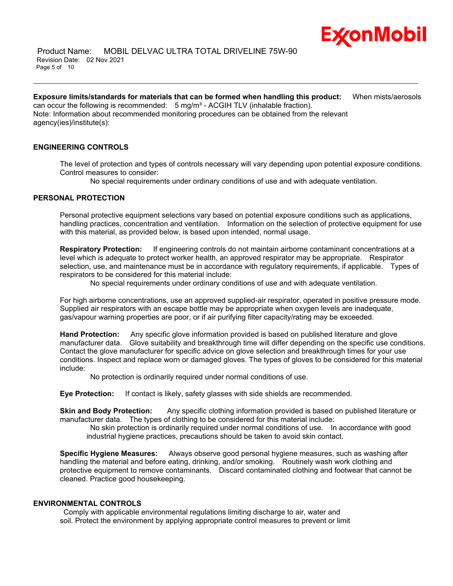

# **Exposure limits/standards for materials that can be formed when handling this product:** When mists/aerosols can occur the following is recommended:  $5$  mg/m<sup>3</sup> - ACGIH TLV (inhalable fraction).

\_\_\_\_\_\_\_\_\_\_\_\_\_\_\_\_\_\_\_\_\_\_\_\_\_\_\_\_\_\_\_\_\_\_\_\_\_\_\_\_\_\_\_\_\_\_\_\_\_\_\_\_\_\_\_\_\_\_\_\_\_\_\_\_\_\_\_\_\_\_\_\_\_\_\_\_\_\_\_\_\_\_\_\_\_\_\_\_\_\_\_\_\_\_\_\_\_\_\_\_\_\_\_\_\_\_\_\_\_\_\_\_\_\_\_\_\_

Note: Information about recommended monitoring procedures can be obtained from the relevant agency(ies)/institute(s):

# **ENGINEERING CONTROLS**

The level of protection and types of controls necessary will vary depending upon potential exposure conditions. Control measures to consider:

No special requirements under ordinary conditions of use and with adequate ventilation.

### **PERSONAL PROTECTION**

Personal protective equipment selections vary based on potential exposure conditions such as applications, handling practices, concentration and ventilation. Information on the selection of protective equipment for use with this material, as provided below, is based upon intended, normal usage.

**Respiratory Protection:** If engineering controls do not maintain airborne contaminant concentrations at a level which is adequate to protect worker health, an approved respirator may be appropriate. Respirator selection, use, and maintenance must be in accordance with regulatory requirements, if applicable. Types of respirators to be considered for this material include:

No special requirements under ordinary conditions of use and with adequate ventilation.

For high airborne concentrations, use an approved supplied-air respirator, operated in positive pressure mode. Supplied air respirators with an escape bottle may be appropriate when oxygen levels are inadequate, gas/vapour warning properties are poor, or if air purifying filter capacity/rating may be exceeded.

**Hand Protection:** Any specific glove information provided is based on published literature and glove manufacturer data. Glove suitability and breakthrough time will differ depending on the specific use conditions. Contact the glove manufacturer for specific advice on glove selection and breakthrough times for your use conditions. Inspect and replace worn or damaged gloves. The types of gloves to be considered for this material include:

No protection is ordinarily required under normal conditions of use.

**Eye Protection:** If contact is likely, safety glasses with side shields are recommended.

**Skin and Body Protection:** Any specific clothing information provided is based on published literature or manufacturer data. The types of clothing to be considered for this material include:

No skin protection is ordinarily required under normal conditions of use. In accordance with good industrial hygiene practices, precautions should be taken to avoid skin contact.

**Specific Hygiene Measures:** Always observe good personal hygiene measures, such as washing after handling the material and before eating, drinking, and/or smoking. Routinely wash work clothing and protective equipment to remove contaminants. Discard contaminated clothing and footwear that cannot be cleaned. Practice good housekeeping.

### **ENVIRONMENTAL CONTROLS**

Comply with applicable environmental regulations limiting discharge to air, water and soil. Protect the environment by applying appropriate control measures to prevent or limit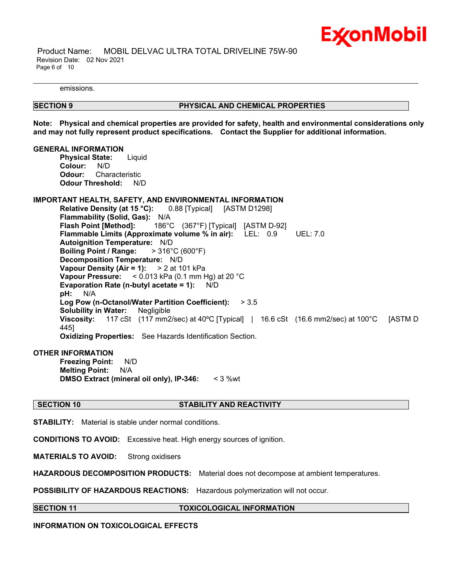

 Product Name: MOBIL DELVAC ULTRA TOTAL DRIVELINE 75W-90 Revision Date: 02 Nov 2021 Page 6 of 10

emissions.

#### **SECTION 9 PHYSICAL AND CHEMICAL PROPERTIES**

**Note: Physical and chemical properties are provided for safety, health and environmental considerations only and may not fully represent product specifications. Contact the Supplier for additional information.**

\_\_\_\_\_\_\_\_\_\_\_\_\_\_\_\_\_\_\_\_\_\_\_\_\_\_\_\_\_\_\_\_\_\_\_\_\_\_\_\_\_\_\_\_\_\_\_\_\_\_\_\_\_\_\_\_\_\_\_\_\_\_\_\_\_\_\_\_\_\_\_\_\_\_\_\_\_\_\_\_\_\_\_\_\_\_\_\_\_\_\_\_\_\_\_\_\_\_\_\_\_\_\_\_\_\_\_\_\_\_\_\_\_\_\_\_\_

#### **GENERAL INFORMATION**

**Physical State:** Liquid **Colour:** N/D **Odour:** Characteristic **Odour Threshold:** N/D

### **IMPORTANT HEALTH, SAFETY, AND ENVIRONMENTAL INFORMATION**

**Relative Density (at 15 °C):** 0.88 [Typical] [ASTM D1298] **Flammability (Solid, Gas):** N/A **Flash Point [Method]:** 186°C (367°F) [Typical] [ASTM D-92] **Flammable Limits (Approximate volume % in air):** LEL: 0.9 UEL: 7.0 **Autoignition Temperature:** N/D **Boiling Point / Range:** > 316°C (600°F) **Decomposition Temperature:** N/D **Vapour Density (Air = 1):** > 2 at 101 kPa **Vapour Pressure:** < 0.013 kPa (0.1 mm Hg) at 20 °C **Evaporation Rate (n-butyl acetate = 1):** N/D **pH:** N/A **Log Pow (n-Octanol/Water Partition Coefficient):** > 3.5 **Solubility in Water:** Negligible **Viscosity:** 117 cSt (117 mm2/sec) at 40ºC [Typical] | 16.6 cSt (16.6 mm2/sec) at 100°C [ASTM D 445] **Oxidizing Properties:** See Hazards Identification Section.

### **OTHER INFORMATION**

**Freezing Point:** N/D **Melting Point:** N/A **DMSO Extract (mineral oil only), IP-346:** < 3 %wt

### **SECTION 10 STABILITY AND REACTIVITY**

**STABILITY:** Material is stable under normal conditions.

**CONDITIONS TO AVOID:** Excessive heat. High energy sources of ignition.

**MATERIALS TO AVOID:** Strong oxidisers

**HAZARDOUS DECOMPOSITION PRODUCTS:** Material does not decompose at ambient temperatures.

**POSSIBILITY OF HAZARDOUS REACTIONS:** Hazardous polymerization will not occur.

**SECTION 11 TOXICOLOGICAL INFORMATION**

**INFORMATION ON TOXICOLOGICAL EFFECTS**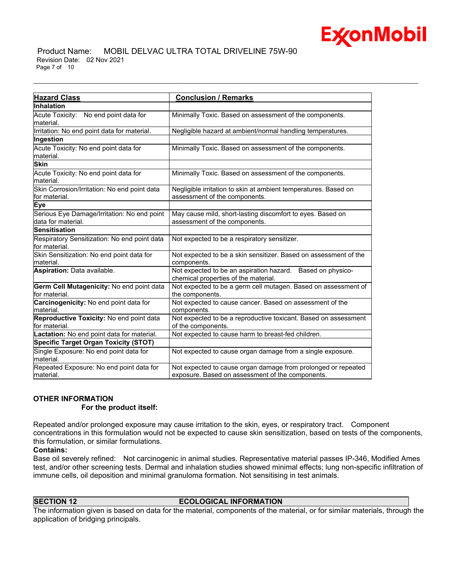

#### Product Name: MOBIL DELVAC ULTRA TOTAL DRIVELINE 75W-90 Revision Date: 02 Nov 2021 Page 7 of 10

| <b>Hazard Class</b>                                               | <b>Conclusion / Remarks</b>                                                                                       |
|-------------------------------------------------------------------|-------------------------------------------------------------------------------------------------------------------|
| Inhalation                                                        |                                                                                                                   |
| Acute Toxicity: No end point data for<br>material.                | Minimally Toxic. Based on assessment of the components.                                                           |
| Irritation: No end point data for material.                       | Negligible hazard at ambient/normal handling temperatures.                                                        |
| Ingestion                                                         |                                                                                                                   |
| Acute Toxicity: No end point data for<br>material.                | Minimally Toxic. Based on assessment of the components.                                                           |
| <b>Skin</b>                                                       |                                                                                                                   |
| Acute Toxicity: No end point data for<br>material.                | Minimally Toxic. Based on assessment of the components.                                                           |
| Skin Corrosion/Irritation: No end point data<br>for material.     | Negligible irritation to skin at ambient temperatures. Based on<br>assessment of the components.                  |
| Eye                                                               |                                                                                                                   |
| Serious Eye Damage/Irritation: No end point<br>data for material. | May cause mild, short-lasting discomfort to eyes. Based on<br>assessment of the components.                       |
| <b>Sensitisation</b>                                              |                                                                                                                   |
| Respiratory Sensitization: No end point data<br>for material.     | Not expected to be a respiratory sensitizer.                                                                      |
| Skin Sensitization: No end point data for<br>material.            | Not expected to be a skin sensitizer. Based on assessment of the<br>components.                                   |
| Aspiration: Data available.                                       | Not expected to be an aspiration hazard. Based on physico-<br>chemical properties of the material.                |
| Germ Cell Mutagenicity: No end point data<br>for material.        | Not expected to be a germ cell mutagen. Based on assessment of<br>the components.                                 |
| Carcinogenicity: No end point data for<br>material.               | Not expected to cause cancer. Based on assessment of the<br>components.                                           |
| Reproductive Toxicity: No end point data<br>for material.         | Not expected to be a reproductive toxicant. Based on assessment<br>of the components.                             |
| Lactation: No end point data for material.                        | Not expected to cause harm to breast-fed children.                                                                |
| <b>Specific Target Organ Toxicity (STOT)</b>                      |                                                                                                                   |
| Single Exposure: No end point data for<br>material.               | Not expected to cause organ damage from a single exposure.                                                        |
| Repeated Exposure: No end point data for<br>lmaterial.            | Not expected to cause organ damage from prolonged or repeated<br>exposure. Based on assessment of the components. |

\_\_\_\_\_\_\_\_\_\_\_\_\_\_\_\_\_\_\_\_\_\_\_\_\_\_\_\_\_\_\_\_\_\_\_\_\_\_\_\_\_\_\_\_\_\_\_\_\_\_\_\_\_\_\_\_\_\_\_\_\_\_\_\_\_\_\_\_\_\_\_\_\_\_\_\_\_\_\_\_\_\_\_\_\_\_\_\_\_\_\_\_\_\_\_\_\_\_\_\_\_\_\_\_\_\_\_\_\_\_\_\_\_\_\_\_\_

# **OTHER INFORMATION**

 **For the product itself:** 

Repeated and/or prolonged exposure may cause irritation to the skin, eyes, or respiratory tract. Component concentrations in this formulation would not be expected to cause skin sensitization, based on tests of the components, this formulation, or similar formulations.

### **Contains:**

Base oil severely refined: Not carcinogenic in animal studies. Representative material passes IP-346, Modified Ames test, and/or other screening tests. Dermal and inhalation studies showed minimal effects; lung non-specific infiltration of immune cells, oil deposition and minimal granuloma formation. Not sensitising in test animals.

### **SECTION 12 ECOLOGICAL INFORMATION**

The information given is based on data for the material, components of the material, or for similar materials, through the application of bridging principals.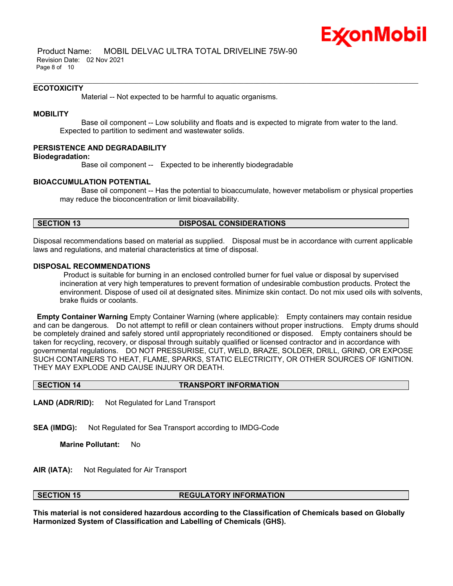

 Product Name: MOBIL DELVAC ULTRA TOTAL DRIVELINE 75W-90 Revision Date: 02 Nov 2021 Page 8 of 10

#### **ECOTOXICITY**

Material -- Not expected to be harmful to aquatic organisms.

## **MOBILITY**

 Base oil component -- Low solubility and floats and is expected to migrate from water to the land. Expected to partition to sediment and wastewater solids.

\_\_\_\_\_\_\_\_\_\_\_\_\_\_\_\_\_\_\_\_\_\_\_\_\_\_\_\_\_\_\_\_\_\_\_\_\_\_\_\_\_\_\_\_\_\_\_\_\_\_\_\_\_\_\_\_\_\_\_\_\_\_\_\_\_\_\_\_\_\_\_\_\_\_\_\_\_\_\_\_\_\_\_\_\_\_\_\_\_\_\_\_\_\_\_\_\_\_\_\_\_\_\_\_\_\_\_\_\_\_\_\_\_\_\_\_\_

#### **PERSISTENCE AND DEGRADABILITY**

#### **Biodegradation:**

Base oil component -- Expected to be inherently biodegradable

#### **BIOACCUMULATION POTENTIAL**

 Base oil component -- Has the potential to bioaccumulate, however metabolism or physical properties may reduce the bioconcentration or limit bioavailability.

#### **SECTION 13 DISPOSAL CONSIDERATIONS**

Disposal recommendations based on material as supplied. Disposal must be in accordance with current applicable laws and regulations, and material characteristics at time of disposal.

#### **DISPOSAL RECOMMENDATIONS**

Product is suitable for burning in an enclosed controlled burner for fuel value or disposal by supervised incineration at very high temperatures to prevent formation of undesirable combustion products. Protect the environment. Dispose of used oil at designated sites. Minimize skin contact. Do not mix used oils with solvents, brake fluids or coolants.

**Empty Container Warning** Empty Container Warning (where applicable): Empty containers may contain residue and can be dangerous. Do not attempt to refill or clean containers without proper instructions. Empty drums should be completely drained and safely stored until appropriately reconditioned or disposed. Empty containers should be taken for recycling, recovery, or disposal through suitably qualified or licensed contractor and in accordance with governmental regulations. DO NOT PRESSURISE, CUT, WELD, BRAZE, SOLDER, DRILL, GRIND, OR EXPOSE SUCH CONTAINERS TO HEAT, FLAME, SPARKS, STATIC ELECTRICITY, OR OTHER SOURCES OF IGNITION. THEY MAY EXPLODE AND CAUSE INJURY OR DEATH.

#### **SECTION 14 TRANSPORT INFORMATION**

**LAND (ADR/RID):** Not Regulated for Land Transport

**SEA (IMDG):** Not Regulated for Sea Transport according to IMDG-Code

**Marine Pollutant:** No

**AIR (IATA):** Not Regulated for Air Transport

#### **SECTION 15 REGULATORY INFORMATION**

**This material is not considered hazardous according to the Classification of Chemicals based on Globally Harmonized System of Classification and Labelling of Chemicals (GHS).**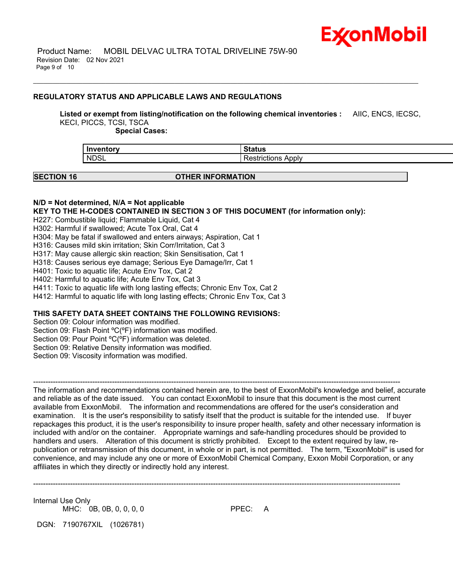

### **REGULATORY STATUS AND APPLICABLE LAWS AND REGULATIONS**

**Listed or exempt from listing/notification on the following chemical inventories :** AIIC, ENCS, IECSC, KECI, PICCS, TCSI, TSCA

\_\_\_\_\_\_\_\_\_\_\_\_\_\_\_\_\_\_\_\_\_\_\_\_\_\_\_\_\_\_\_\_\_\_\_\_\_\_\_\_\_\_\_\_\_\_\_\_\_\_\_\_\_\_\_\_\_\_\_\_\_\_\_\_\_\_\_\_\_\_\_\_\_\_\_\_\_\_\_\_\_\_\_\_\_\_\_\_\_\_\_\_\_\_\_\_\_\_\_\_\_\_\_\_\_\_\_\_\_\_\_\_\_\_\_\_\_

 **Special Cases:**

| <b>Inventory</b> | เaเนร             |
|------------------|-------------------|
| <b>NDSL</b>      | Applv<br>rictions |
|                  |                   |

#### **SECTION 16 OTHER INFORMATION**

#### **N/D = Not determined, N/A = Not applicable**

**KEY TO THE H-CODES CONTAINED IN SECTION 3 OF THIS DOCUMENT (for information only):**

H227: Combustible liquid; Flammable Liquid, Cat 4

H302: Harmful if swallowed; Acute Tox Oral, Cat 4

H304: May be fatal if swallowed and enters airways; Aspiration, Cat 1

H316: Causes mild skin irritation; Skin Corr/Irritation, Cat 3

H317: May cause allergic skin reaction; Skin Sensitisation, Cat 1

H318: Causes serious eye damage; Serious Eye Damage/Irr, Cat 1

H401: Toxic to aquatic life; Acute Env Tox, Cat 2

H402: Harmful to aquatic life; Acute Env Tox, Cat 3

H411: Toxic to aquatic life with long lasting effects; Chronic Env Tox, Cat 2

H412: Harmful to aquatic life with long lasting effects; Chronic Env Tox, Cat 3

# **THIS SAFETY DATA SHEET CONTAINS THE FOLLOWING REVISIONS:**

Section 09: Colour information was modified.

Section 09: Flash Point ºC(ºF) information was modified.

Section 09: Pour Point °C(°F) information was deleted.

Section 09: Relative Density information was modified.

Section 09: Viscosity information was modified.

----------------------------------------------------------------------------------------------------------------------------------------------------- The information and recommendations contained herein are, to the best of ExxonMobil's knowledge and belief, accurate and reliable as of the date issued. You can contact ExxonMobil to insure that this document is the most current available from ExxonMobil. The information and recommendations are offered for the user's consideration and examination. It is the user's responsibility to satisfy itself that the product is suitable for the intended use. If buyer repackages this product, it is the user's responsibility to insure proper health, safety and other necessary information is included with and/or on the container. Appropriate warnings and safe-handling procedures should be provided to handlers and users. Alteration of this document is strictly prohibited. Except to the extent required by law, republication or retransmission of this document, in whole or in part, is not permitted. The term, "ExxonMobil" is used for convenience, and may include any one or more of ExxonMobil Chemical Company, Exxon Mobil Corporation, or any affiliates in which they directly or indirectly hold any interest.

-----------------------------------------------------------------------------------------------------------------------------------------------------

Internal Use Only MHC: 0B, 0B, 0, 0, 0, 0

DGN: 7190767XIL (1026781)